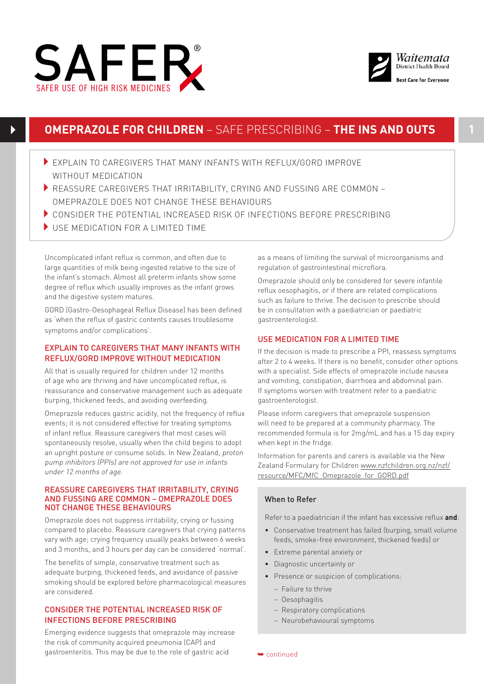



# **OMEPRAZOLE FOR CHILDREN** – SAFE PRESCRIBING – **THE INS AND OUTS**

- 4EXPLAIN TO CAREGIVERS THAT MANY INFANTS WITH REFLUX/GORD IMPROVE WITHOUT MEDICATION
- **FIGUREM CONSTRUCTS AND FUSSING ARE COMMON REASSURE COMMON** OMEPRAZOLE DOES NOT CHANGE THESE BEHAVIOURS
- 4CONSIDER THE POTENTIAL INCREASED RISK OF INFECTIONS BEFORE PRESCRIBING
- $\blacktriangleright$  USE MEDICATION FOR A LIMITED TIME

Uncomplicated infant reflux is common, and often due to large quantities of milk being ingested relative to the size of the infant's stomach. Almost all preterm infants show some degree of reflux which usually improves as the infant grows and the digestive system matures.

GORD (Gastro-Oesophageal Reflux Disease) has been defined as 'when the reflux of gastric contents causes troublesome symptoms and/or complications'.

## EXPLAIN TO CAREGIVERS THAT MANY INFANTS WITH REFLUX/GORD IMPROVE WITHOUT MEDICATION

All that is usually required for children under 12 months of age who are thriving and have uncomplicated reflux, is reassurance and conservative management such as adequate burping, thickened feeds, and avoiding overfeeding.

Omeprazole reduces gastric acidity, not the frequency of reflux events; it is not considered effective for treating symptoms of infant reflux. Reassure caregivers that most cases will spontaneously resolve, usually when the child begins to adopt an upright posture or consume solids. In New Zealand, proton pump inhibitors (PPIs) are not approved for use in infants under 12 months of age.

### REASSURE CAREGIVERS THAT IRRITABILITY, CRYING AND FUSSING ARE COMMON – OMEPRAZOLE DOES NOT CHANGE THESE BEHAVIOURS

Omeprazole does not suppress irritability, crying or fussing compared to placebo. Reassure caregivers that crying patterns vary with age; crying frequency usually peaks between 6 weeks and 3 months, and 3 hours per day can be considered 'normal'.

The benefits of simple, conservative treatment such as adequate burping, thickened feeds, and avoidance of passive smoking should be explored before pharmacological measures are considered.

## CONSIDER THE POTENTIAL INCREASED RISK OF INFECTIONS BEFORE PRESCRIBING

Emerging evidence suggests that omeprazole may increase the risk of community acquired pneumonia (CAP) and gastroenteritis. This may be due to the role of gastric acid

as a means of limiting the survival of microorganisms and regulation of gastrointestinal microflora.

Omeprazole should only be considered for severe infantile reflux oesophagitis, or if there are related complications such as failure to thrive. The decision to prescribe should be in consultation with a paediatrician or paediatric gastroenterologist.

### USE MEDICATION FOR A LIMITED TIME

If the decision is made to prescribe a PPI, reassess symptoms after 2 to 4 weeks. If there is no benefit, consider other options with a specialist. Side effects of omeprazole include nausea and vomiting, constipation, diarrhoea and abdominal pain. If symptoms worsen with treatment refer to a paediatric gastroenterologist.

Please inform caregivers that omeprazole suspension will need to be prepared at a community pharmacy. The recommended formula is for 2mg/mL and has a 15 day expiry when kept in the fridge.

Information for parents and carers is available via the New Zealand Formulary for Children [www.nzfchildren.org.nz/nzf/](http://www.nzfchildren.org.nz/nzf/resource/MFC/MfC_Omeprazole_for_GORD.pdf) [resource/MFC/MfC\\_Omeprazole\\_for\\_GORD.pdf](http://www.nzfchildren.org.nz/nzf/resource/MFC/MfC_Omeprazole_for_GORD.pdf)

### When to Refer

Refer to a paediatrician if the infant has excessive reflux **and**:

- Conservative treatment has failed (burping, small volume feeds, smoke-free environment, thickened feeds) or
- Extreme parental anxiety or
- Diagnostic uncertainty or
- Presence or suspicion of complications:
	- Failure to thrive
	- Oesophagitis
	- Respiratory complications
	- Neurobehavioural symptoms